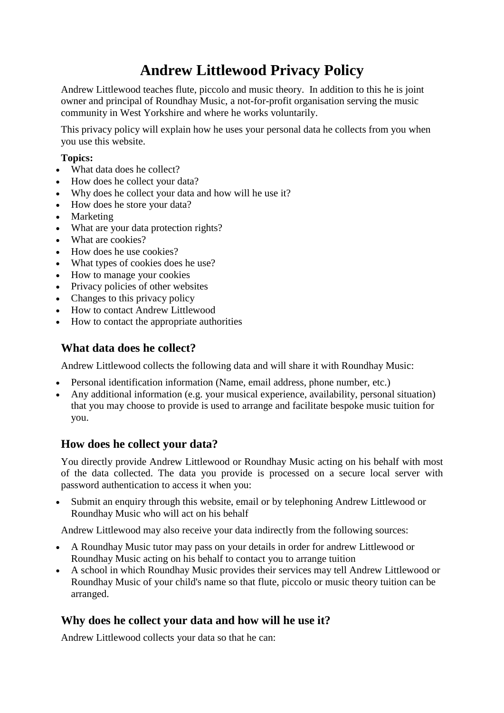# **Andrew Littlewood Privacy Policy**

Andrew Littlewood teaches flute, piccolo and music theory. In addition to this he is joint owner and principal of Roundhay Music, a not-for-profit organisation serving the music community in West Yorkshire and where he works voluntarily.

This privacy policy will explain how he uses your personal data he collects from you when you use this website.

#### **Topics:**

- What data does he collect?
- How does he collect your data?
- Why does he collect your data and how will he use it?
- How does he store your data?
- Marketing
- What are your data protection rights?
- What are cookies?
- How does he use cookies?
- What types of cookies does he use?
- How to manage your cookies
- Privacy policies of other websites
- Changes to this privacy policy
- How to contact Andrew Littlewood
- How to contact the appropriate authorities

# **What data does he collect?**

Andrew Littlewood collects the following data and will share it with Roundhay Music:

- Personal identification information (Name, email address, phone number, etc.)
- Any additional information (e.g. your musical experience, availability, personal situation) that you may choose to provide is used to arrange and facilitate bespoke music tuition for you.

## **How does he collect your data?**

You directly provide Andrew Littlewood or Roundhay Music acting on his behalf with most of the data collected. The data you provide is processed on a secure local server with password authentication to access it when you:

 Submit an enquiry through this website, email or by telephoning Andrew Littlewood or Roundhay Music who will act on his behalf

Andrew Littlewood may also receive your data indirectly from the following sources:

- A Roundhay Music tutor may pass on your details in order for andrew Littlewood or Roundhay Music acting on his behalf to contact you to arrange tuition
- A school in which Roundhay Music provides their services may tell Andrew Littlewood or Roundhay Music of your child's name so that flute, piccolo or music theory tuition can be arranged.

# **Why does he collect your data and how will he use it?**

Andrew Littlewood collects your data so that he can: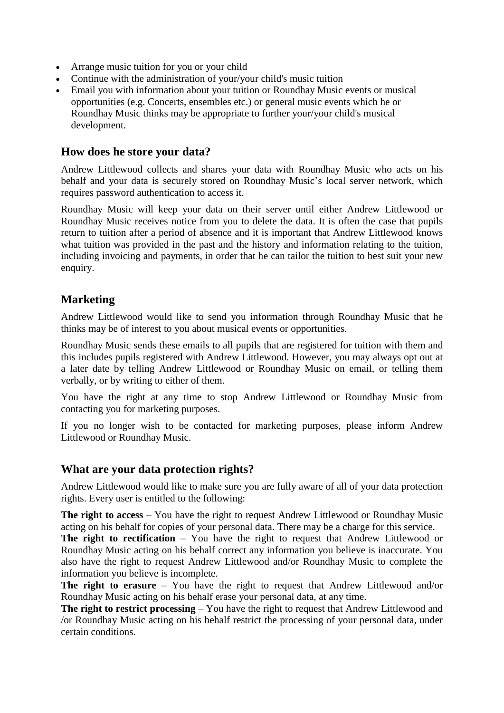- Arrange music tuition for you or your child
- Continue with the administration of your/your child's music tuition
- Email you with information about your tuition or Roundhay Music events or musical opportunities (e.g. Concerts, ensembles etc.) or general music events which he or Roundhay Music thinks may be appropriate to further your/your child's musical development.

#### **How does he store your data?**

Andrew Littlewood collects and shares your data with Roundhay Music who acts on his behalf and your data is securely stored on Roundhay Music's local server network, which requires password authentication to access it.

Roundhay Music will keep your data on their server until either Andrew Littlewood or Roundhay Music receives notice from you to delete the data. It is often the case that pupils return to tuition after a period of absence and it is important that Andrew Littlewood knows what tuition was provided in the past and the history and information relating to the tuition, including invoicing and payments, in order that he can tailor the tuition to best suit your new enquiry.

## **Marketing**

Andrew Littlewood would like to send you information through Roundhay Music that he thinks may be of interest to you about musical events or opportunities.

Roundhay Music sends these emails to all pupils that are registered for tuition with them and this includes pupils registered with Andrew Littlewood. However, you may always opt out at a later date by telling Andrew Littlewood or Roundhay Music on email, or telling them verbally, or by writing to either of them.

You have the right at any time to stop Andrew Littlewood or Roundhay Music from contacting you for marketing purposes.

If you no longer wish to be contacted for marketing purposes, please inform Andrew Littlewood or Roundhay Music.

#### **What are your data protection rights?**

Andrew Littlewood would like to make sure you are fully aware of all of your data protection rights. Every user is entitled to the following:

**The right to access** – You have the right to request Andrew Littlewood or Roundhay Music acting on his behalf for copies of your personal data. There may be a charge for this service.

**The right to rectification** – You have the right to request that Andrew Littlewood or Roundhay Music acting on his behalf correct any information you believe is inaccurate. You also have the right to request Andrew Littlewood and/or Roundhay Music to complete the information you believe is incomplete.

**The right to erasure** – You have the right to request that Andrew Littlewood and/or Roundhay Music acting on his behalf erase your personal data, at any time.

**The right to restrict processing** – You have the right to request that Andrew Littlewood and /or Roundhay Music acting on his behalf restrict the processing of your personal data, under certain conditions.